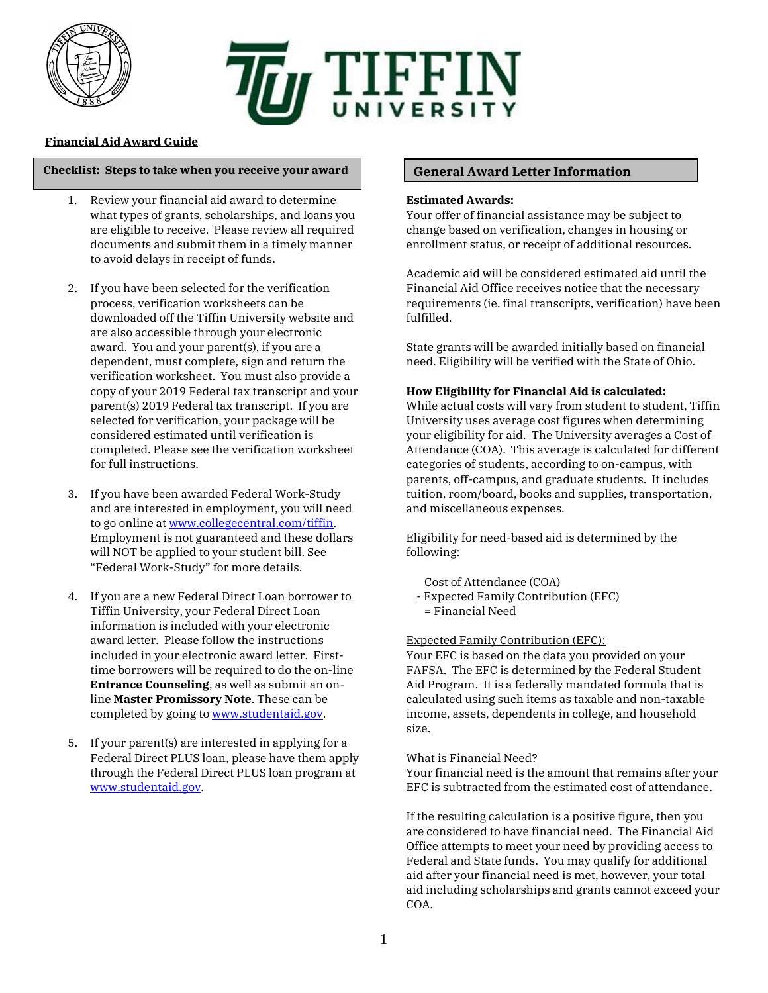

# **TELE TELE TELES IT Y**

## **Financial Aid Award Guide**

### **Checklist: Steps to take when you receive your award General Award Letter Information**

- 1. Review your financial aid award to determine what types of grants, scholarships, and loans you are eligible to receive. Please review all required documents and submit them in a timely manner to avoid delays in receipt of funds.
- 2. If you have been selected for the verification process, verification worksheets can be downloaded off the Tiffin University website and are also accessible through your electronic award. You and your parent(s), if you are a dependent, must complete, sign and return the verification worksheet. You must also provide a copy of your 2019 Federal tax transcript and your parent(s) 2019 Federal tax transcript. If you are selected for verification, your package will be considered estimated until verification is completed. Please see the verification worksheet for full instructions.
- 3. If you have been awarded Federal Work-Study and are interested in employment, you will need to go online at [www.collegecentral.com/tiffin.](http://www.collegecentral.com/tiffin) Employment is not guaranteed and these dollars will NOT be applied to your student bill. See "Federal Work-Study" for more details.
- 4. If you are a new Federal Direct Loan borrower to Tiffin University, your Federal Direct Loan information is included with your electronic award letter. Please follow the instructions included in your electronic award letter. Firsttime borrowers will be required to do the on-line **Entrance Counseling**, as well as submit an online **Master Promissory Note**. These can be completed by going t[o www.studentaid.gov.](http://www.studentaid.gov/)
- 5. If your parent(s) are interested in applying for a Federal Direct PLUS loan, please have them apply through the Federal Direct PLUS loan program at [www.studentaid.gov.](http://www.studentaid.gov/)

### **Estimated Awards:**

Your offer of financial assistance may be subject to change based on verification, changes in housing or enrollment status, or receipt of additional resources.

Academic aid will be considered estimated aid until the Financial Aid Office receives notice that the necessary requirements (ie. final transcripts, verification) have been fulfilled.

State grants will be awarded initially based on financial need. Eligibility will be verified with the State of Ohio.

### **How Eligibility for Financial Aid is calculated:**

While actual costs will vary from student to student, Tiffin University uses average cost figures when determining your eligibility for aid. The University averages a Cost of Attendance (COA). This average is calculated for different categories of students, according to on-campus, with parents, off-campus, and graduate students. It includes tuition, room/board, books and supplies, transportation, and miscellaneous expenses.

Eligibility for need-based aid is determined by the following:

Cost of Attendance (COA)

- Expected Family Contribution (EFC)
- = Financial Need

### Expected Family Contribution (EFC):

Your EFC is based on the data you provided on your FAFSA. The EFC is determined by the Federal Student Aid Program. It is a federally mandated formula that is calculated using such items as taxable and non-taxable income, assets, dependents in college, and household size.

### What is Financial Need?

Your financial need is the amount that remains after your EFC is subtracted from the estimated cost of attendance.

If the resulting calculation is a positive figure, then you are considered to have financial need. The Financial Aid Office attempts to meet your need by providing access to Federal and State funds. You may qualify for additional aid after your financial need is met, however, your total aid including scholarships and grants cannot exceed your COA.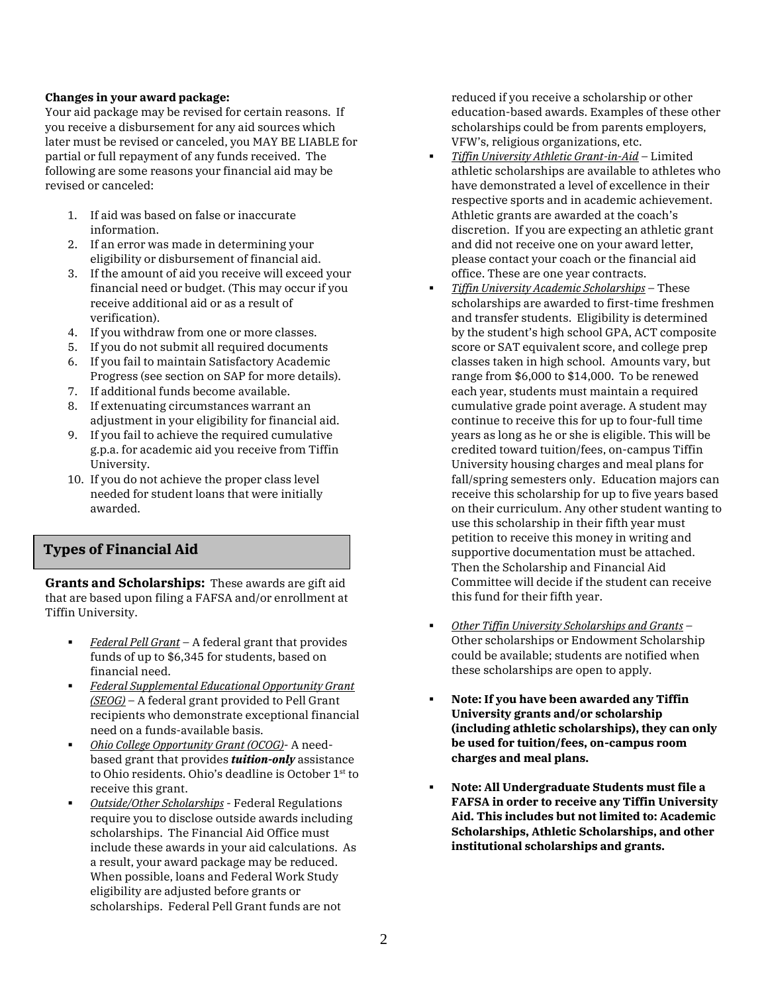### **Changes in your award package:**

Your aid package may be revised for certain reasons. If you receive a disbursement for any aid sources which later must be revised or canceled, you MAY BE LIABLE for partial or full repayment of any funds received. The following are some reasons your financial aid may be revised or canceled:

- 1. If aid was based on false or inaccurate information.
- 2. If an error was made in determining your eligibility or disbursement of financial aid.
- 3. If the amount of aid you receive will exceed your financial need or budget. (This may occur if you receive additional aid or as a result of verification).
- 4. If you withdraw from one or more classes.
- 5. If you do not submit all required documents
- 6. If you fail to maintain Satisfactory Academic Progress (see section on SAP for more details).
- 7. If additional funds become available.
- 8. If extenuating circumstances warrant an adjustment in your eligibility for financial aid.
- 9. If you fail to achieve the required cumulative g.p.a. for academic aid you receive from Tiffin University.
- 10. If you do not achieve the proper class level needed for student loans that were initially awarded.

# **Types of Financial Aid**

**Grants and Scholarships:** These awards are gift aid that are based upon filing a FAFSA and/or enrollment at Tiffin University.

- *Federal Pell Grant* A federal grant that provides funds of up to \$6,345 for students, based on financial need.
- *Federal Supplemental Educational Opportunity Grant (SEOG)* – A federal grant provided to Pell Grant recipients who demonstrate exceptional financial need on a funds-available basis.
- *Ohio College Opportunity Grant (OCOG)* A needbased grant that provides *tuition-only* assistance to Ohio residents. Ohio's deadline is October 1st to receive this grant.
- *Outside/Other Scholarships* Federal Regulations require you to disclose outside awards including scholarships. The Financial Aid Office must include these awards in your aid calculations. As a result, your award package may be reduced. When possible, loans and Federal Work Study eligibility are adjusted before grants or scholarships. Federal Pell Grant funds are not

reduced if you receive a scholarship or other education-based awards. Examples of these other scholarships could be from parents employers, VFW's, religious organizations, etc.

- *Tiffin University Athletic Grant-in-Aid* Limited athletic scholarships are available to athletes who have demonstrated a level of excellence in their respective sports and in academic achievement. Athletic grants are awarded at the coach's discretion. If you are expecting an athletic grant and did not receive one on your award letter, please contact your coach or the financial aid office. These are one year contracts.
- *Tiffin University Academic Scholarships* These scholarships are awarded to first-time freshmen and transfer students. Eligibility is determined by the student's high school GPA, ACT composite score or SAT equivalent score, and college prep classes taken in high school. Amounts vary, but range from \$6,000 to \$14,000. To be renewed each year, students must maintain a required cumulative grade point average. A student may continue to receive this for up to four-full time years as long as he or she is eligible. This will be credited toward tuition/fees, on-campus Tiffin University housing charges and meal plans for fall/spring semesters only. Education majors can receive this scholarship for up to five years based on their curriculum. Any other student wanting to use this scholarship in their fifth year must petition to receive this money in writing and supportive documentation must be attached. Then the Scholarship and Financial Aid Committee will decide if the student can receive this fund for their fifth year.
- *Other Tiffin University Scholarships and Grants* Other scholarships or Endowment Scholarship could be available; students are notified when these scholarships are open to apply.
- **Note: If you have been awarded any Tiffin University grants and/or scholarship (including athletic scholarships), they can only be used for tuition/fees, on-campus room charges and meal plans.**
- **Note: All Undergraduate Students must file a FAFSA in order to receive any Tiffin University Aid. This includes but not limited to: Academic Scholarships, Athletic Scholarships, and other institutional scholarships and grants.**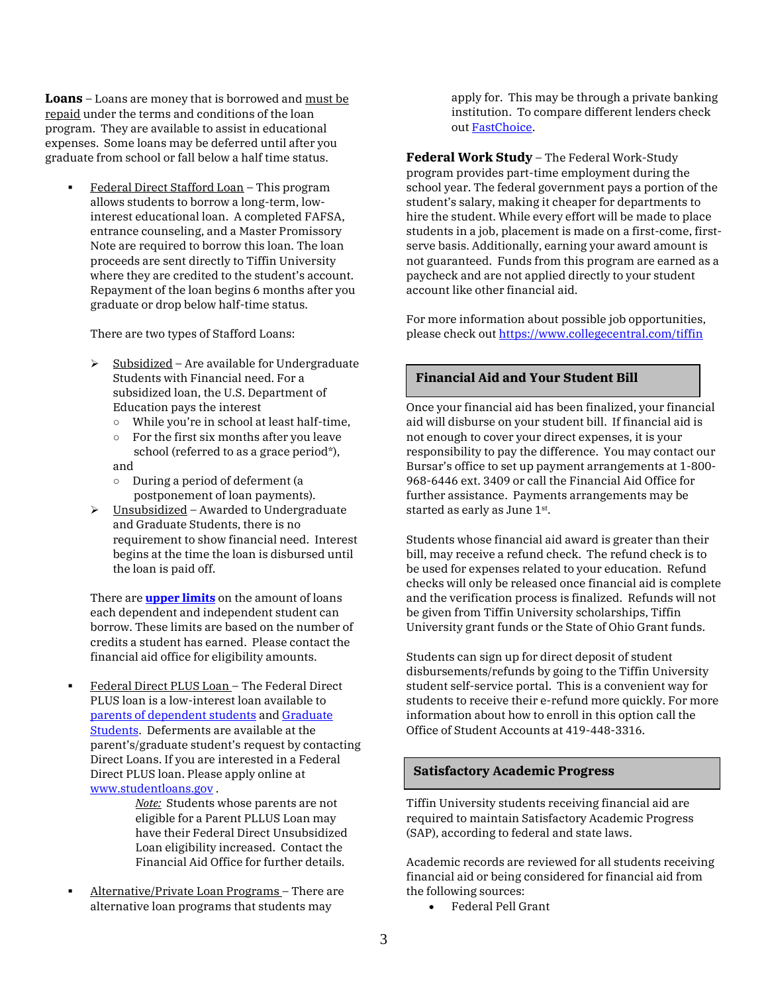**Loans** – Loans are money that is borrowed and must be repaid under the terms and conditions of the loan program. They are available to assist in educational expenses. Some loans may be deferred until after you graduate from school or fall below a half time status.

 Federal Direct Stafford Loan – This program allows students to borrow a long-term, lowinterest educational loan. A completed FAFSA, entrance counseling, and a Master Promissory Note are required to borrow this loan. The loan proceeds are sent directly to Tiffin University where they are credited to the student's account. Repayment of the loan begins 6 months after you graduate or drop below half-time status.

There are two types of Stafford Loans:

- Subsidized Are available for Undergraduate Students with Financial need. For a subsidized loan, the U.S. Department of Education pays the interest
	- While you're in school at least half-time,
	- $\circ$  For the first six months after you leave school (referred to as a grace period\*), and
	- During a period of deferment (a postponement of loan payments).
- $\triangleright$  Unsubsidized Awarded to Undergraduate and Graduate Students, there is no requirement to show financial need. Interest begins at the time the loan is disbursed until the loan is paid off.

There are **[upper limits](https://studentaid.ed.gov/sa/types/loans/subsidized-unsubsidized)** on the amount of loans each dependent and independent student can borrow. These limits are based on the number of credits a student has earned. Please contact the financial aid office for eligibility amounts.

 Federal Direct PLUS Loan – The Federal Direct PLUS loan is a low-interest loan available to [parents of dependent students](https://studentaid.ed.gov/sa/types/loans/plus/parent#when-repay) and [Graduate](https://studentaid.ed.gov/sa/types/loans/plus/grad-professional)  [Students.](https://studentaid.ed.gov/sa/types/loans/plus/grad-professional) Deferments are available at the parent's/graduate student's request by contacting Direct Loans. If you are interested in a Federal Direct PLUS loan. Please apply online at [www.studentloans.gov](http://www.studentloans.gov/) .

> *Note:* Students whose parents are not eligible for a Parent PLLUS Loan may have their Federal Direct Unsubsidized Loan eligibility increased. Contact the Financial Aid Office for further details.

 Alternative/Private Loan Programs – There are alternative loan programs that students may

apply for. This may be through a private banking institution. To compare different lenders check ou[t FastChoice.](https://choice.fastproducts.org/FastChoice/home/312100) 

**Federal Work Study** – The Federal Work-Study program provides part-time employment during the school year. The federal government pays a portion of the student's salary, making it cheaper for departments to hire the student. While every effort will be made to place students in a job, placement is made on a first-come, firstserve basis. Additionally, earning your award amount is not guaranteed. Funds from this program are earned as a paycheck and are not applied directly to your student account like other financial aid.

For more information about possible job opportunities, please check out <https://www.collegecentral.com/tiffin>

### **Financial Aid and Your Student Bill**

Once your financial aid has been finalized, your financial aid will disburse on your student bill. If financial aid is not enough to cover your direct expenses, it is your responsibility to pay the difference. You may contact our Bursar's office to set up payment arrangements at 1-800- 968-6446 ext. 3409 or call the Financial Aid Office for further assistance. Payments arrangements may be started as early as June  $1<sup>st</sup>$ .

Students whose financial aid award is greater than their bill, may receive a refund check. The refund check is to be used for expenses related to your education. Refund checks will only be released once financial aid is complete and the verification process is finalized. Refunds will not be given from Tiffin University scholarships, Tiffin University grant funds or the State of Ohio Grant funds.

Students can sign up for direct deposit of student disbursements/refunds by going to the Tiffin University student self-service portal. This is a convenient way for students to receive their e-refund more quickly. For more information about how to enroll in this option call the Office of Student Accounts at 419-448-3316.

### **Satisfactory Academic Progress**

Tiffin University students receiving financial aid are required to maintain Satisfactory Academic Progress (SAP), according to federal and state laws.

Academic records are reviewed for all students receiving financial aid or being considered for financial aid from the following sources:

Federal Pell Grant